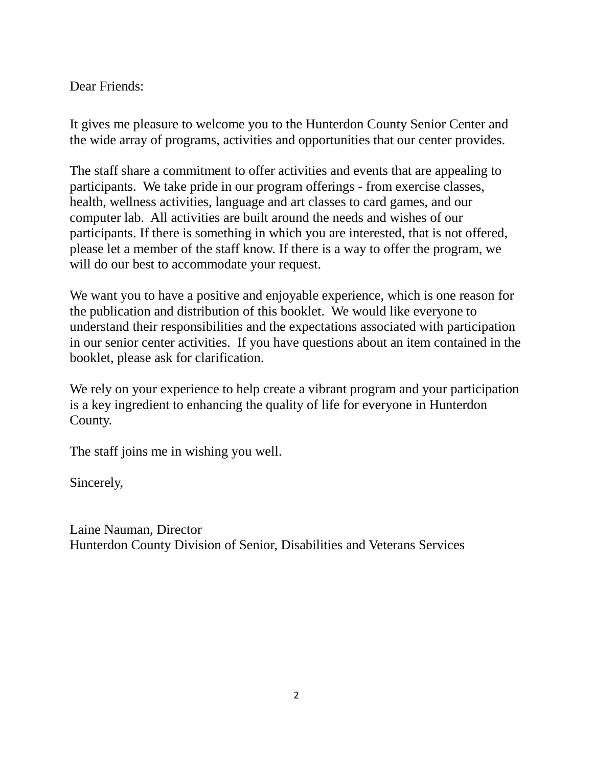### Dear Friends:

It gives me pleasure to welcome you to the Hunterdon County Senior Center and the wide array of programs, activities and opportunities that our center provides.

The staff share a commitment to offer activities and events that are appealing to participants. We take pride in our program offerings - from exercise classes, health, wellness activities, language and art classes to card games, and our computer lab. All activities are built around the needs and wishes of our participants. If there is something in which you are interested, that is not offered, please let a member of the staff know. If there is a way to offer the program, we will do our best to accommodate your request.

We want you to have a positive and enjoyable experience, which is one reason for the publication and distribution of this booklet. We would like everyone to understand their responsibilities and the expectations associated with participation in our senior center activities. If you have questions about an item contained in the booklet, please ask for clarification.

We rely on your experience to help create a vibrant program and your participation is a key ingredient to enhancing the quality of life for everyone in Hunterdon County.

The staff joins me in wishing you well.

Sincerely,

Laine Nauman, Director Hunterdon County Division of Senior, Disabilities and Veterans Services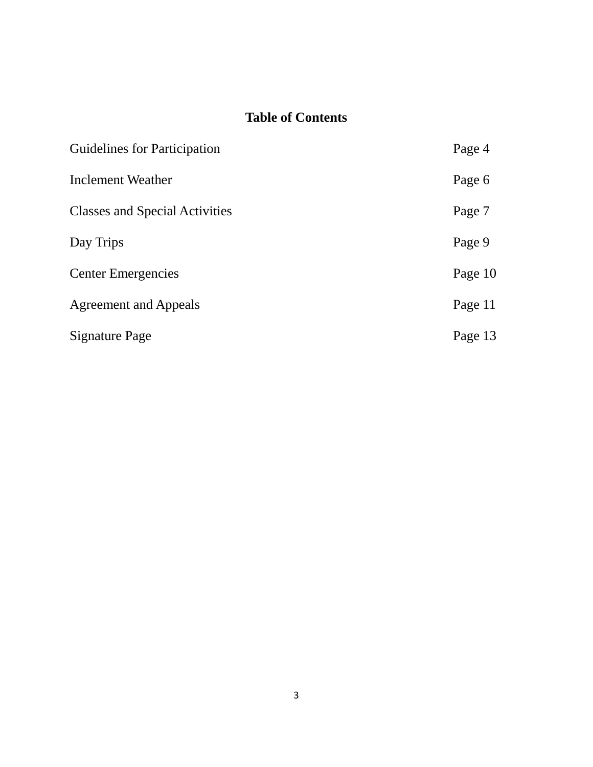# **Table of Contents**

| <b>Guidelines for Participation</b>   | Page 4  |
|---------------------------------------|---------|
| <b>Inclement Weather</b>              | Page 6  |
| <b>Classes and Special Activities</b> | Page 7  |
| Day Trips                             | Page 9  |
| <b>Center Emergencies</b>             | Page 10 |
| Agreement and Appeals                 | Page 11 |
| Signature Page                        | Page 13 |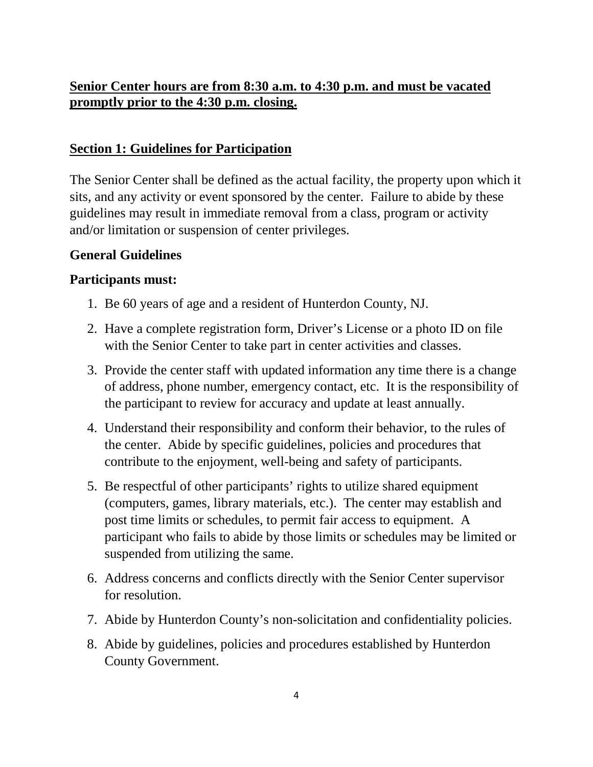## **Senior Center hours are from 8:30 a.m. to 4:30 p.m. and must be vacated promptly prior to the 4:30 p.m. closing.**

#### **Section 1: Guidelines for Participation**

The Senior Center shall be defined as the actual facility, the property upon which it sits, and any activity or event sponsored by the center. Failure to abide by these guidelines may result in immediate removal from a class, program or activity and/or limitation or suspension of center privileges.

#### **General Guidelines**

#### **Participants must:**

- 1. Be 60 years of age and a resident of Hunterdon County, NJ.
- 2. Have a complete registration form, Driver's License or a photo ID on file with the Senior Center to take part in center activities and classes.
- 3. Provide the center staff with updated information any time there is a change of address, phone number, emergency contact, etc. It is the responsibility of the participant to review for accuracy and update at least annually.
- 4. Understand their responsibility and conform their behavior, to the rules of the center. Abide by specific guidelines, policies and procedures that contribute to the enjoyment, well-being and safety of participants.
- 5. Be respectful of other participants' rights to utilize shared equipment (computers, games, library materials, etc.). The center may establish and post time limits or schedules, to permit fair access to equipment. A participant who fails to abide by those limits or schedules may be limited or suspended from utilizing the same.
- 6. Address concerns and conflicts directly with the Senior Center supervisor for resolution.
- 7. Abide by Hunterdon County's non-solicitation and confidentiality policies.
- 8. Abide by guidelines, policies and procedures established by Hunterdon County Government.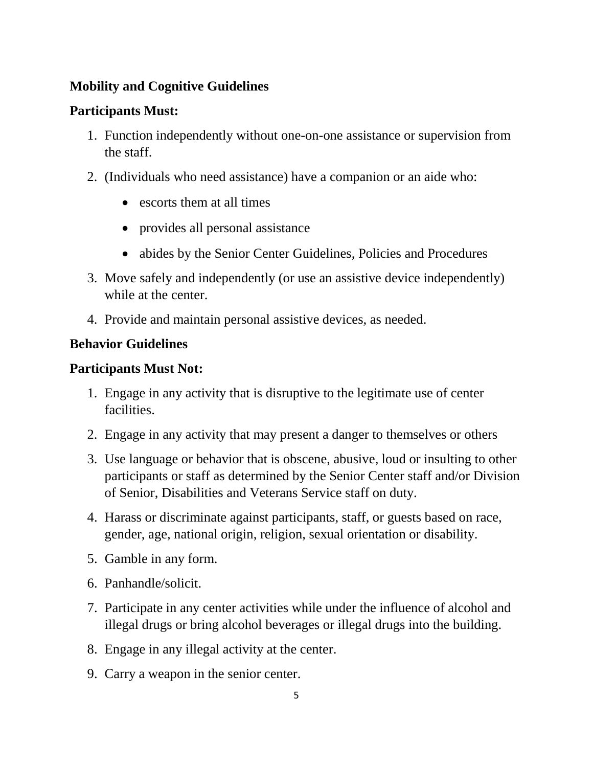## **Mobility and Cognitive Guidelines**

## **Participants Must:**

- 1. Function independently without one-on-one assistance or supervision from the staff.
- 2. (Individuals who need assistance) have a companion or an aide who:
	- escorts them at all times
	- provides all personal assistance
	- abides by the Senior Center Guidelines, Policies and Procedures
- 3. Move safely and independently (or use an assistive device independently) while at the center.
- 4. Provide and maintain personal assistive devices, as needed.

## **Behavior Guidelines**

## **Participants Must Not:**

- 1. Engage in any activity that is disruptive to the legitimate use of center facilities.
- 2. Engage in any activity that may present a danger to themselves or others
- 3. Use language or behavior that is obscene, abusive, loud or insulting to other participants or staff as determined by the Senior Center staff and/or Division of Senior, Disabilities and Veterans Service staff on duty.
- 4. Harass or discriminate against participants, staff, or guests based on race, gender, age, national origin, religion, sexual orientation or disability.
- 5. Gamble in any form.
- 6. Panhandle/solicit.
- 7. Participate in any center activities while under the influence of alcohol and illegal drugs or bring alcohol beverages or illegal drugs into the building.
- 8. Engage in any illegal activity at the center.
- 9. Carry a weapon in the senior center.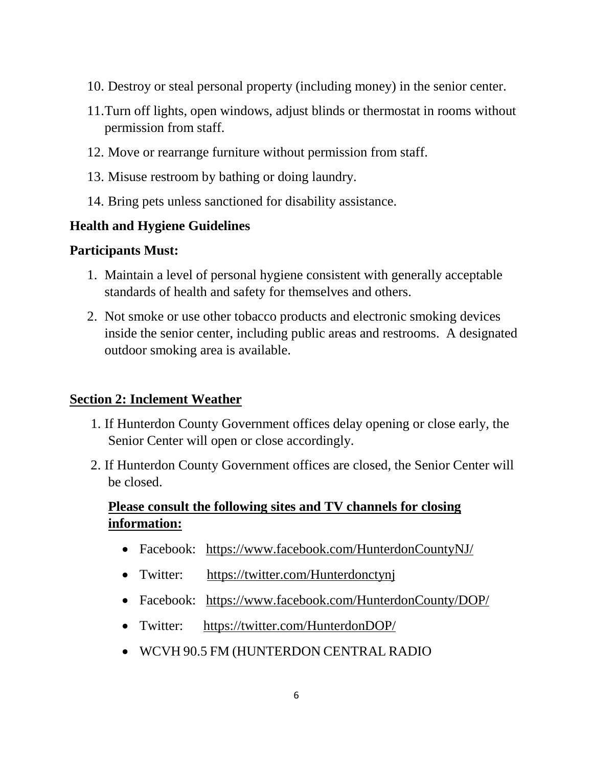- 10. Destroy or steal personal property (including money) in the senior center.
- 11.Turn off lights, open windows, adjust blinds or thermostat in rooms without permission from staff.
- 12. Move or rearrange furniture without permission from staff.
- 13. Misuse restroom by bathing or doing laundry.
- 14. Bring pets unless sanctioned for disability assistance.

## **Health and Hygiene Guidelines**

### **Participants Must:**

- 1. Maintain a level of personal hygiene consistent with generally acceptable standards of health and safety for themselves and others.
- 2. Not smoke or use other tobacco products and electronic smoking devices inside the senior center, including public areas and restrooms. A designated outdoor smoking area is available.

## **Section 2: Inclement Weather**

- 1. If Hunterdon County Government offices delay opening or close early, the Senior Center will open or close accordingly.
- 2. If Hunterdon County Government offices are closed, the Senior Center will be closed.

## **Please consult the following sites and TV channels for closing information:**

- Facebook: <https://www.facebook.com/HunterdonCountyNJ/>
- Twitter: https://twitter.com/Hunterdonctynj
- Facebook: <https://www.facebook.com/HunterdonCounty/DOP/>
- Twitter: <https://twitter.com/HunterdonDOP/>
- WCVH 90.5 FM (HUNTERDON CENTRAL RADIO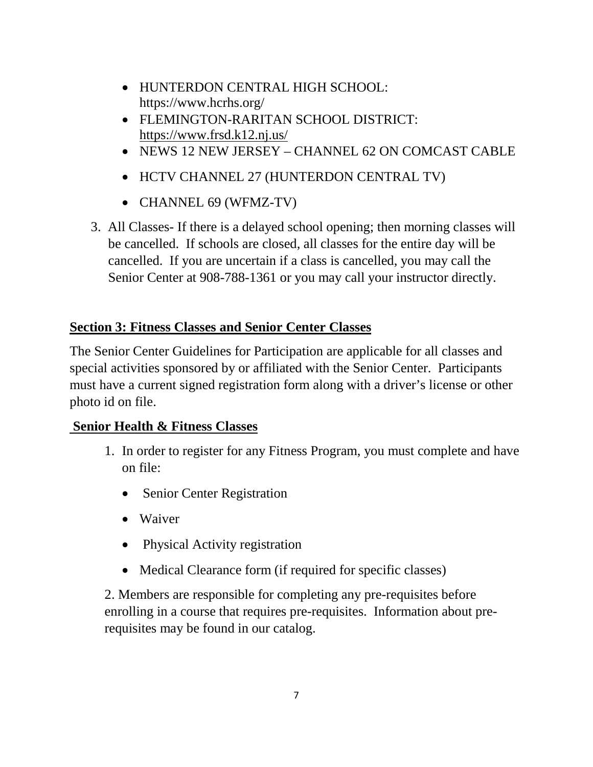- HUNTERDON CENTRAL HIGH SCHOOL: https://www.hcrhs.org/
- FLEMINGTON-RARITAN SCHOOL DISTRICT: <https://www.frsd.k12.nj.us/>
- NEWS 12 NEW JERSEY CHANNEL 62 ON COMCAST CABLE
- HCTV CHANNEL 27 (HUNTERDON CENTRAL TV)
- CHANNEL 69 (WFMZ-TV)
- 3. All Classes- If there is a delayed school opening; then morning classes will be cancelled. If schools are closed, all classes for the entire day will be cancelled. If you are uncertain if a class is cancelled, you may call the Senior Center at 908-788-1361 or you may call your instructor directly.

## **Section 3: Fitness Classes and Senior Center Classes**

The Senior Center Guidelines for Participation are applicable for all classes and special activities sponsored by or affiliated with the Senior Center. Participants must have a current signed registration form along with a driver's license or other photo id on file.

## **Senior Health & Fitness Classes**

- 1. In order to register for any Fitness Program, you must complete and have on file:
	- Senior Center Registration
	- Waiver
	- Physical Activity registration
	- Medical Clearance form (if required for specific classes)

2. Members are responsible for completing any pre-requisites before enrolling in a course that requires pre-requisites. Information about prerequisites may be found in our catalog.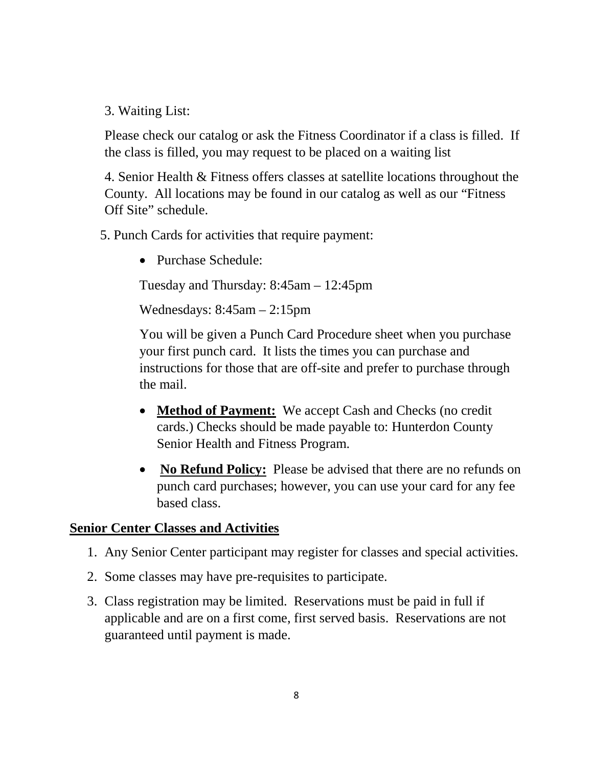3. Waiting List:

Please check our catalog or ask the Fitness Coordinator if a class is filled. If the class is filled, you may request to be placed on a waiting list

4. Senior Health & Fitness offers classes at satellite locations throughout the County. All locations may be found in our catalog as well as our "Fitness Off Site" schedule.

5. Punch Cards for activities that require payment:

• Purchase Schedule:

Tuesday and Thursday: 8:45am – 12:45pm

Wednesdays: 8:45am – 2:15pm

You will be given a Punch Card Procedure sheet when you purchase your first punch card. It lists the times you can purchase and instructions for those that are off-site and prefer to purchase through the mail.

- **Method of Payment:** We accept Cash and Checks (no credit cards.) Checks should be made payable to: Hunterdon County Senior Health and Fitness Program.
- **No Refund Policy:** Please be advised that there are no refunds on punch card purchases; however, you can use your card for any fee based class.

#### **Senior Center Classes and Activities**

- 1. Any Senior Center participant may register for classes and special activities.
- 2. Some classes may have pre-requisites to participate.
- 3. Class registration may be limited. Reservations must be paid in full if applicable and are on a first come, first served basis. Reservations are not guaranteed until payment is made.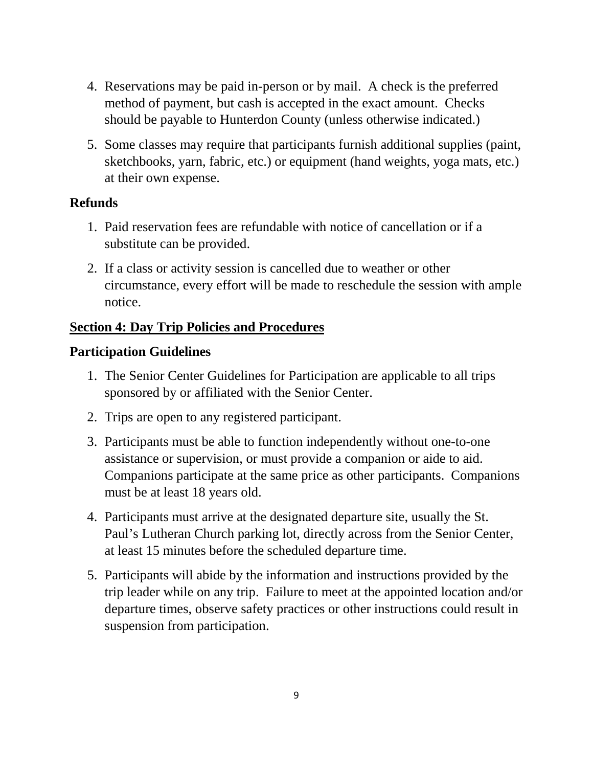- 4. Reservations may be paid in-person or by mail. A check is the preferred method of payment, but cash is accepted in the exact amount. Checks should be payable to Hunterdon County (unless otherwise indicated.)
- 5. Some classes may require that participants furnish additional supplies (paint, sketchbooks, yarn, fabric, etc.) or equipment (hand weights, yoga mats, etc.) at their own expense.

### **Refunds**

- 1. Paid reservation fees are refundable with notice of cancellation or if a substitute can be provided.
- 2. If a class or activity session is cancelled due to weather or other circumstance, every effort will be made to reschedule the session with ample notice.

### **Section 4: Day Trip Policies and Procedures**

#### **Participation Guidelines**

- 1. The Senior Center Guidelines for Participation are applicable to all trips sponsored by or affiliated with the Senior Center.
- 2. Trips are open to any registered participant.
- 3. Participants must be able to function independently without one-to-one assistance or supervision, or must provide a companion or aide to aid. Companions participate at the same price as other participants. Companions must be at least 18 years old.
- 4. Participants must arrive at the designated departure site, usually the St. Paul's Lutheran Church parking lot, directly across from the Senior Center, at least 15 minutes before the scheduled departure time.
- 5. Participants will abide by the information and instructions provided by the trip leader while on any trip. Failure to meet at the appointed location and/or departure times, observe safety practices or other instructions could result in suspension from participation.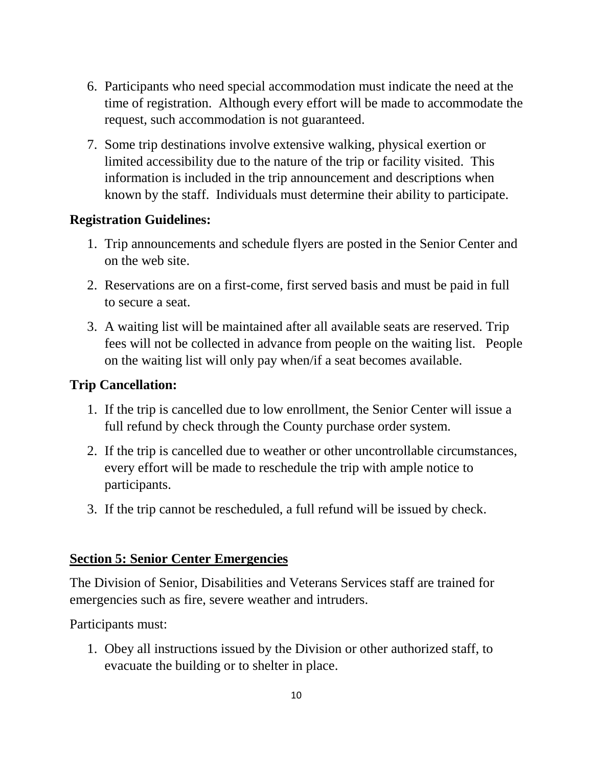- 6. Participants who need special accommodation must indicate the need at the time of registration. Although every effort will be made to accommodate the request, such accommodation is not guaranteed.
- 7. Some trip destinations involve extensive walking, physical exertion or limited accessibility due to the nature of the trip or facility visited. This information is included in the trip announcement and descriptions when known by the staff. Individuals must determine their ability to participate.

## **Registration Guidelines:**

- 1. Trip announcements and schedule flyers are posted in the Senior Center and on the web site.
- 2. Reservations are on a first-come, first served basis and must be paid in full to secure a seat.
- 3. A waiting list will be maintained after all available seats are reserved. Trip fees will not be collected in advance from people on the waiting list. People on the waiting list will only pay when/if a seat becomes available.

## **Trip Cancellation:**

- 1. If the trip is cancelled due to low enrollment, the Senior Center will issue a full refund by check through the County purchase order system.
- 2. If the trip is cancelled due to weather or other uncontrollable circumstances, every effort will be made to reschedule the trip with ample notice to participants.
- 3. If the trip cannot be rescheduled, a full refund will be issued by check.

## **Section 5: Senior Center Emergencies**

The Division of Senior, Disabilities and Veterans Services staff are trained for emergencies such as fire, severe weather and intruders.

Participants must:

1. Obey all instructions issued by the Division or other authorized staff, to evacuate the building or to shelter in place.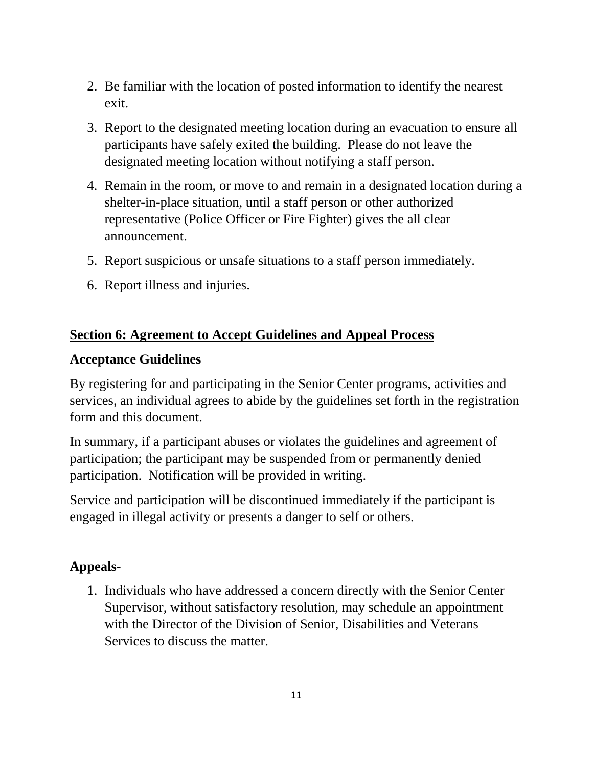- 2. Be familiar with the location of posted information to identify the nearest exit.
- 3. Report to the designated meeting location during an evacuation to ensure all participants have safely exited the building. Please do not leave the designated meeting location without notifying a staff person.
- 4. Remain in the room, or move to and remain in a designated location during a shelter-in-place situation, until a staff person or other authorized representative (Police Officer or Fire Fighter) gives the all clear announcement.
- 5. Report suspicious or unsafe situations to a staff person immediately.
- 6. Report illness and injuries.

### **Section 6: Agreement to Accept Guidelines and Appeal Process**

#### **Acceptance Guidelines**

By registering for and participating in the Senior Center programs, activities and services, an individual agrees to abide by the guidelines set forth in the registration form and this document.

In summary, if a participant abuses or violates the guidelines and agreement of participation; the participant may be suspended from or permanently denied participation. Notification will be provided in writing.

Service and participation will be discontinued immediately if the participant is engaged in illegal activity or presents a danger to self or others.

## **Appeals-**

1. Individuals who have addressed a concern directly with the Senior Center Supervisor, without satisfactory resolution, may schedule an appointment with the Director of the Division of Senior, Disabilities and Veterans Services to discuss the matter.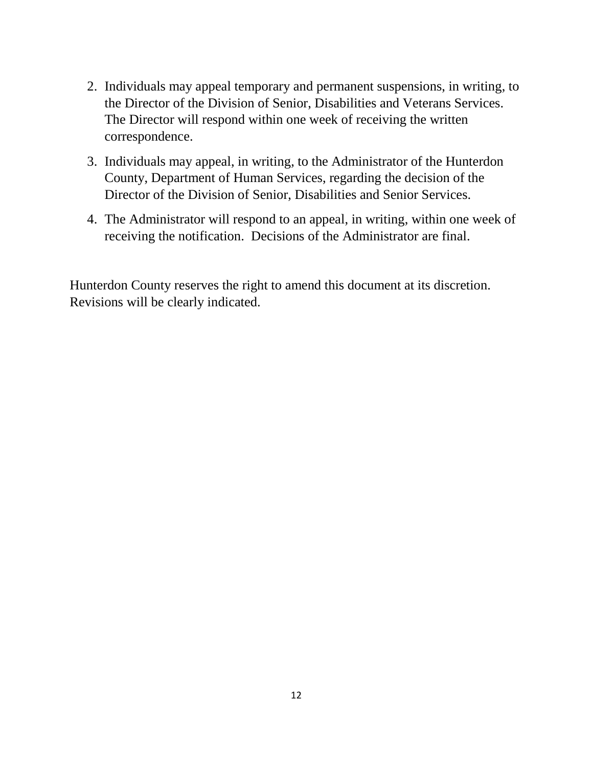- 2. Individuals may appeal temporary and permanent suspensions, in writing, to the Director of the Division of Senior, Disabilities and Veterans Services. The Director will respond within one week of receiving the written correspondence.
- 3. Individuals may appeal, in writing, to the Administrator of the Hunterdon County, Department of Human Services, regarding the decision of the Director of the Division of Senior, Disabilities and Senior Services.
- 4. The Administrator will respond to an appeal, in writing, within one week of receiving the notification. Decisions of the Administrator are final.

Hunterdon County reserves the right to amend this document at its discretion. Revisions will be clearly indicated.